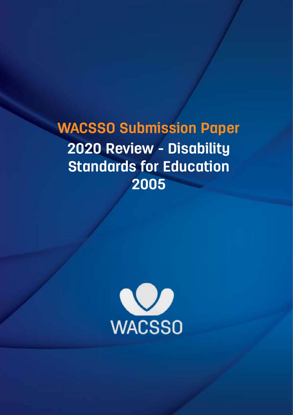**WACSSO Submission Paper 2020 Review - Disability Standards for Education 2005**

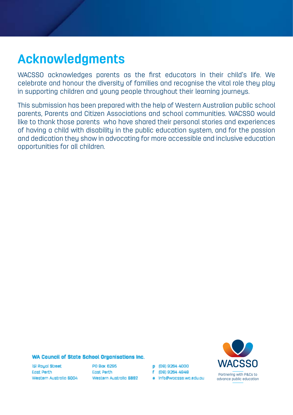#### **Acknowledgments**

WACSSO acknowledges parents as the first educators in their child's life. We celebrate and honour the diversity of families and recognise the vital role they play in supporting children and young people throughout their learning journeys.

This submission has been prepared with the help of Western Australian public school parents, Parents and Citizen Associations and school communities. WACSSO would like to thank those parents who have shared their personal stories and experiences of having a child with disability in the public education system, and for the passion and dedication they show in advocating for more accessible and inclusive education opportunities for all children.

#### WA Council of State School Organisations Inc.

15 Rougi Street Fost Perth Western Austrolia 6004 PO Box 6295 Fost Peth. Western Australia 6892 p (08) 9264 4000

e info@wacsso.wa.edu.ou

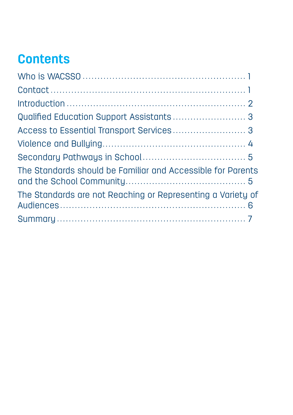## **Contents**

| The Standards should be Familiar and Accessible for Parents |
|-------------------------------------------------------------|
| The Standards are not Reaching or Representing a Variety of |
|                                                             |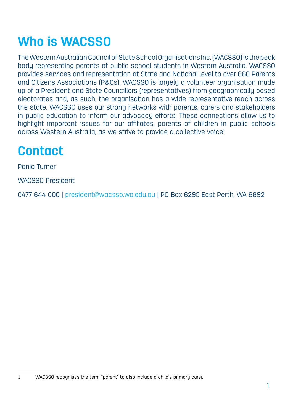# **Who is WACSSO**

The Western Australian Council of State School Organisations Inc. (WACSSO) is the peak body representing parents of public school students in Western Australia. WACSSO provides services and representation at State and National level to over 660 Parents and Citizens Associations (P&Cs). WACSSO is largely a volunteer organisation made up of a President and State Councillors (representatives) from geographically based electorates and, as such, the organisation has a wide representative reach across the state. WACSSO uses our strong networks with parents, carers and stakeholders in public education to inform our advocacy efforts. These connections allow us to highlight important issues for our affiliates, parents of children in public schools across Western Australia, as we strive to provide a collective voice! .

#### **Contact**

Pania Turner

WACSSO President

0477 644 000 | president@wacsso.wa.edu.au | PO Box 6295 East Perth, WA 6892

1 WACSSO recognises the term "parent" to also include a child's primary carer.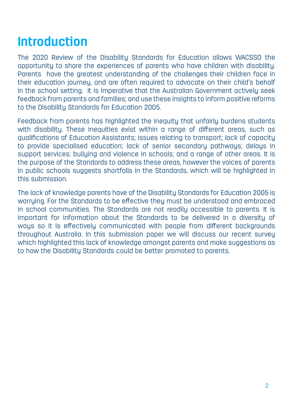#### **Introduction**

The 2020 Review of the Disability Standards for Education allows WACSSO the opportunity to share the experiences of parents who have children with disability. Parents have the greatest understanding of the challenges their children face in their education journey, and are often required to advocate on their child's behalf in the school setting. It is imperative that the Australian Government actively seek feedback from parents and families; and use these insights to inform positive reforms to the Disability Standards for Education 2005.

Feedback from parents has highlighted the inequity that unfairly burdens students with disability. These inequities exist within a range of different areas, such as qualifications of Education Assistants; issues relating to transport; lack of capacity to provide specialised education; lack of senior secondary pathways; delays in support services; bullying and violence in schools; and a range of other areas. It is the purpose of the Standards to address these areas, however the voices of parents in public schools suggests shortfalls in the Standards, which will be highlighted in this submission.

The lack of knowledge parents have of the Disability Standards for Education 2005 is worrying. For the Standards to be effective they must be understood and embraced in school communities. The Standards are not readily accessible to parents. It is important for information about the Standards to be delivered in a diversity of ways so it is effectively communicated with people from different backgrounds throughout Australia. In this submission paper we will discuss our recent survey which highlighted this lack of knowledge amongst parents and make suggestions as to how the Disability Standards could be better promoted to parents.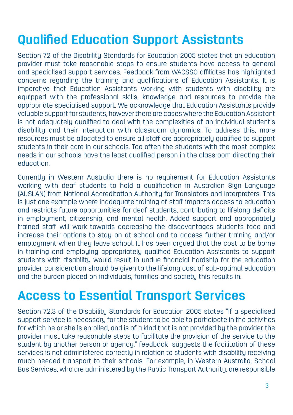### **Qualified Education Support Assistants**

Section 7.2 of the Disability Standards for Education 2005 states that an education provider must take reasonable steps to ensure students have access to general and specialised support services. Feedback from WACSSO affiliates has highlighted concerns regarding the training and qualifications of Education Assistants. It is imperative that Education Assistants working with students with disability are equipped with the professional skills, knowledge and resources to provide the appropriate specialised support. We acknowledge that Education Assistants provide valuable support for students, however there are cases where the Education Assistant is not adequately qualified to deal with the complexities of an individual student's disability and their interaction with classroom dynamics. To address this, more resources must be allocated to ensure all staff are appropriately qualified to support students in their care in our schools. Too often the students with the most complex needs in our schools have the least qualified person in the classroom directing their education.

Currently in Western Australia there is no requirement for Education Assistants working with deaf students to hold a qualification in Australian Sign Language (AUSLAN) from National Accreditation Authority for Translators and Interpreters. This is just one example where inadequate training of staff impacts access to education and restricts future opportunities for deaf students, contributing to lifelong deficits in employment, citizenship, and mental health. Added support and appropriately trained staff will work towards decreasing the disadvantages students face and increase their options to stay on at school and to access further training and/or employment when they leave school. It has been argued that the cost to be borne in training and employing appropriately qualified Education Assistants to support students with disability would result in undue financial hardship for the education provider, consideration should be given to the lifelong cost of sub-optimal education and the burden placed on individuals, families and society this results in.

#### **Access to Essential Transport Services**

Section 7.2.3 of the Disability Standards for Education 2005 states "If a specialised support service is necessary for the student to be able to participate in the activities for which he or she is enrolled, and is of a kind that is not provided by the provider, the provider must take reasonable steps to facilitate the provision of the service to the student by another person or agency," feedback suggests the facilitation of these services is not administered correctly in relation to students with disability receiving much needed transport to their schools. For example, in Western Australia, School Bus Services, who are administered by the Public Transport Authority, are responsible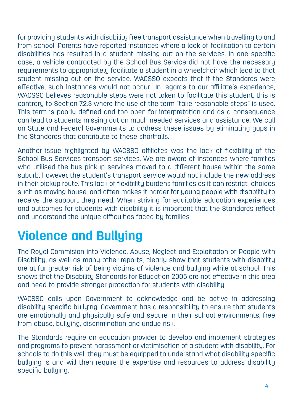for providing students with disability free transport assistance when travelling to and from school. Parents have reported instances where a lack of facilitation to certain disabilities has resulted in a student missing out on the services. In one specific case, a vehicle contracted by the School Bus Service did not have the necessary requirements to appropriately facilitate a student in a wheelchair which lead to that student missing out on the service. WACSSO expects that if the Standards were effective, such instances would not occur. In regards to our affiliate's experience, WACSSO believes reasonable steps were not taken to facilitate this student, this is contrary to Section 7.2.3 where the use of the term "take reasonable steps" is used. This term is poorly defined and too open for interpretation and as a consequence can lead to students missing out on much needed services and assistance. We call on State and Federal Governments to address these issues by eliminating gaps in the Standards that contribute to these shortfalls.

Another issue highlighted by WACSSO affiliates was the lack of flexibility of the School Bus Services transport services. We are aware of instances where families who utilised the bus pickup services moved to a different house within the same suburb, however, the student's transport service would not include the new address in their pickup route. This lack of flexibility burdens families as it can restrict choices such as moving house, and often makes it harder for young people with disability to receive the support they need. When striving for equitable education experiences and outcomes for students with disability it is important that the Standards reflect and understand the unique difficulties faced by families.

### **Violence and Bullying**

The Royal Commision into Violence, Abuse, Neglect and Exploitation of People with Disability, as well as many other reports, clearly show that students with disability are at far greater risk of being victims of violence and bullying while at school. This shows that the Disability Standards for Education 2005 are not effective in this area and need to provide stronger protection for students with disability.

WACSSO calls upon Government to acknowledge and be active in addressing disability specific bullying. Government has a responsibility to ensure that students are emotionally and physically safe and secure in their school environments, free from abuse, bullying, discrimination and undue risk.

The Standards require an education provider to develop and implement strategies and programs to prevent harassment or victimisation of a student with disability. For schools to do this well they must be equipped to understand what disability specific bullying is and will then require the expertise and resources to address disability specific bullying.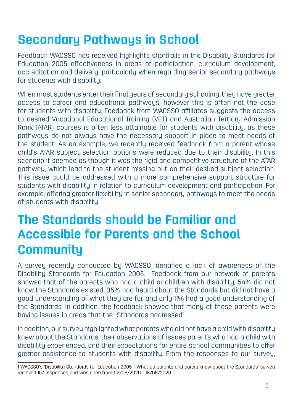#### **Secondary Pathways in School**

Feedback WACSSO has received highlights shortfalls in the Disability Standards for Education 2005 effectiveness in areas of participation, curriculum development, accreditation and delivery, particularly when regarding senior secondary pathways for students with disability.

When most students enter their final years of secondary schooling, they have greater access to career and educational pathways, however this is often not the case for students with disability. Feedback from WACSSO affiliates suggests the access to desired Vocational Educational Training (VET) and Australian Tertiary Admission Rank (ATAR) courses is often less attainable for students with disability, as these pathways do not always have the necessary support in place to meet needs of the student. As an example, we recently received feedback from a parent whose child's ATAR subject selection options were reduced due to their disability. In this scenario it seemed as though it was the rigid and competitive structure of the ATAR pathway, which lead to the student missing out on their desired subject selection. This issue could be addressed with a more comprehensive support structure for students with disability in relation to curriculum development and participation. For example, offering greater flexibility in senior secondary pathways to meet the needs of students with disability.

#### **The Standards should be Familiar and Accessible for Parents and the School Community**

A survey recently conducted by WACSSO identified a lack of awareness of the Disability Standards for Education 2005. Feedback from our network of parents showed that of the parents who had a child or children with disability, 54% did not know the Standards existed, 35% had heard about the Standards but did not have a good understanding of what they are for, and only 11% had a good understanding of the Standards. In addition, the feedback showed that many of these parents were having issues in areas that the Standards addressed. .

In addition, our survey highlighted what parents who did not have a child with disability knew about the Standards, their observations of issues parents who had a child with disability experienced, and their expectations for entire school communities to offer greater assistance to students with disability. From the responses to our survey,

<sup>1</sup> WACSSO's 'Disability Standards for Education 2005 - What do parents and carers know about the Standards' survey received 107 responses and was open from 02/09/2020 - 18/09/2020.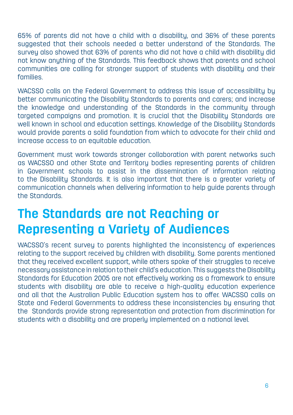65% of parents did not have a child with a disability, and 36% of these parents suggested that their schools needed a better understand of the Standards. The survey also showed that 63% of parents who did not have a child with disability did not know anything of the Standards. This feedback shows that parents and school communities are calling for stronger support of students with disability and their families.

WACSSO calls on the Federal Government to address this issue of accessibility by better communicating the Disability Standards to parents and carers; and increase the knowledge and understanding of the Standards in the community through targeted campaigns and promotion. It is crucial that the Disability Standards are well known in school and education settings. Knowledge of the Disability Standards would provide parents a solid foundation from which to advocate for their child and increase access to an equitable education.

Government must work towards stronger collaboration with parent networks such as WACSSO and other State and Territory bodies representing parents of children in Government schools to assist in the dissemination of information relating to the Disability Standards. It is also important that there is a greater variety of communication channels when delivering information to help guide parents through the Standards.

#### **The Standards are not Reaching or Representing a Variety of Audiences**

WACSSO's recent survey to parents highlighted the inconsistency of experiences relating to the support received by children with disability. Some parents mentioned that they received excellent support, while others spoke of their struggles to receive necessary assistance in relation to their child's education. This suggests the Disability Standards for Education 2005 are not effectively working as a framework to ensure students with disability are able to receive a high-quality education experience and all that the Australian Public Education system has to offer. WACSSO calls on State and Federal Governments to address these inconsistencies by ensuring that the Standards provide strong representation and protection from discrimination for students with a disability and are properly implemented on a national level.